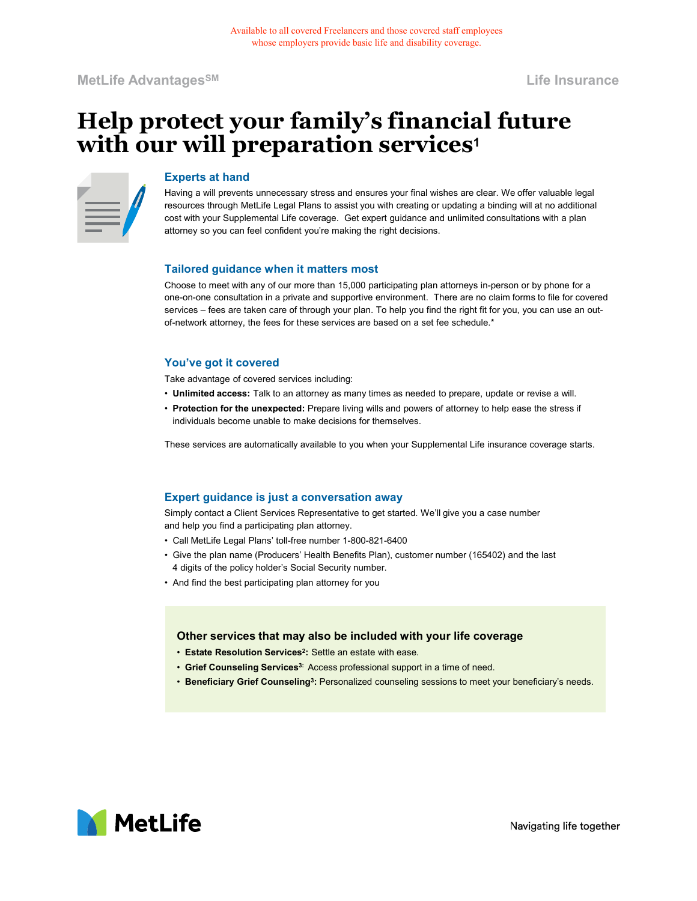MetLife Advantages<sup>sM</sup> and the insurance of the Insurance of the Insurance of the Insurance of the Insurance of the Insurance of the Insurance of the Insurance of the Insurance of the Insurance of the Insurance of the Insu

# Help protect your family's financial future with our will preparation services<sup>1</sup>

#### Experts at hand

Having a will prevents unnecessary stress and ensures your final wishes are clear. We offer valuable legal resources through MetLife Legal Plans to assist you with creating or updating a binding will at no additional cost with your Supplemental Life coverage. Get expert guidance and unlimited consultations with a plan attorney so you can feel confident you're making the right decisions. Available to all covered Fredancers and those covered staff employees<br>
services employers provide basic life and disability coverage.<br>
<br> **Services – From Family's financial future**<br>
<br> **Experts at hand**<br>
Having a will preve

### Tailored guidance when it matters most

Choose to meet with any of our more than 15,000 participating plan attorneys in-person or by phone for a one-on-one consultation in a private and supportive environment. There are no claim forms to file for covered of-network attorney, the fees for these services are based on a set fee schedule.\* Tailored guidiance when it matters most<br>Choose to meet with any of our more than 15,000 participating plan attomeys in-person or by phone for a<br>one-on-one consultation in a private and supportive environment. There are no Tailored guidance when it matters most<br>Choose to meet with any of our more than 15,000 participating plan attomeys in-person or by phone for a<br>Choose to meet with any of our more than 15,000 participating plan attomeys in-Choose to meet with any of our more than 15.000 participating plan attomeys in-person or by phone for<br>cons-on-one consultation in a private and supportive environment. There are no claim forms to file for consultation in a

## You've got it covered

- Take advantage of covered services including:<br>• Unlimited access: Talk to an attorney as many times as needed to prepare, update or revise a will.
- Protection for the unexpected: Prepare living wills and powers of attorney to help ease the stress if individuals become unable to make decisions for themselves.

These services are automatically available to you when your Supplemental Life insurance coverage starts.

# Expert guidance is just a conversation away

Simply contact a Client Services Representative to get started. We'll give you a case number and help you find a participating plan attorney.

- 
- 4 digits of the policy holder's Social Security number.
- 

#### Other services that may also be included with your life coverage

- $\bm{\cdot}$  Estate Resolution Services $^2$ : Settle an estate with ease.  $\qquad \qquad$
- Grief Counseling Services<sup>3:</sup> Access professional support in a time of need.
- $\bm{\cdot}$  Beneficiary Grief Counseling $^3$ : Personalized counseling sessions to meet your beneficiary's needs.



Navigating life together